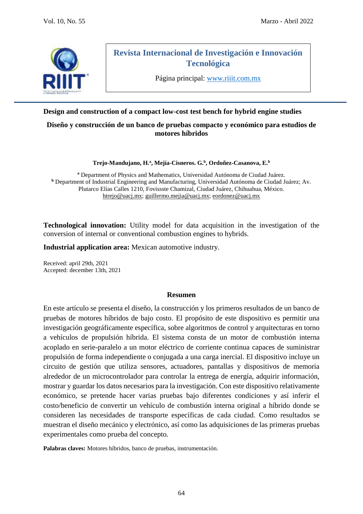

# **Revista Internacional de Investigación e Innovación Tecnológica**

Página principal: [www.riiit.com.mx](http://www.riiit.com.mx/)

## **Design and construction of a compact low-cost test bench for hybrid engine studies**

### **Diseño y construcción de un banco de pruebas compacto y económico para estudios de motores híbridos**

**Trejo-Mandujano, H.<sup>a</sup> , Mejía-Cisneros. G.<sup>b</sup> , Ordoñez-Casanova, E.<sup>b</sup>**

**<sup>a</sup>** Department of Physics and Mathematics, Universidad Autónoma de Ciudad Juárez. **<sup>b</sup>** Department of Industrial Engineering and Manufacturing, Universidad Autónoma de Ciudad Juárez; Av. Plutarco Elías Calles 1210, Fovissste Chamizal, Ciudad Juárez, Chihuahua, México. [htrejo@uacj.mx;](mailto:htrejo@uacj.mx) [guillermo.mejia@uacj.mx;](mailto:guillermo.mejia@uacj.mx) [eordonez@uacj.mx](mailto:eordonez@uacj.mx)

**Technological innovation:** Utility model for data acquisition in the investigation of the conversion of internal or conventional combustion engines to hybrids.

**Industrial application area:** Mexican automotive industry.

Received: april 29th, 2021 Accepted: december 13th, 2021

#### **Resumen**

En este artículo se presenta el diseño, la construcción y los primeros resultados de un banco de pruebas de motores híbridos de bajo costo. El propósito de este dispositivo es permitir una investigación geográficamente específica, sobre algoritmos de control y arquitecturas en torno a vehículos de propulsión híbrida. El sistema consta de un motor de combustión interna acoplado en serie-paralelo a un motor eléctrico de corriente continua capaces de suministrar propulsión de forma independiente o conjugada a una carga inercial. El dispositivo incluye un circuito de gestión que utiliza sensores, actuadores, pantallas y dispositivos de memoria alrededor de un microcontrolador para controlar la entrega de energía, adquirir información, mostrar y guardar los datos necesarios para la investigación. Con este dispositivo relativamente económico, se pretende hacer varias pruebas bajo diferentes condiciones y así inferir el costo/beneficio de convertir un vehículo de combustión interna original a híbrido donde se consideren las necesidades de transporte específicas de cada ciudad. Como resultados se muestran el diseño mecánico y electrónico, así como las adquisiciones de las primeras pruebas experimentales como prueba del concepto.

**Palabras claves:** Motores híbridos, banco de pruebas, instrumentación.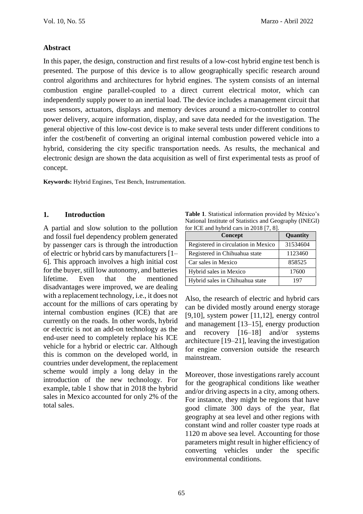### **Abstract**

In this paper, the design, construction and first results of a low-cost hybrid engine test bench is presented. The purpose of this device is to allow geographically specific research around control algorithms and architectures for hybrid engines. The system consists of an internal combustion engine parallel-coupled to a direct current electrical motor, which can independently supply power to an inertial load. The device includes a management circuit that uses sensors, actuators, displays and memory devices around a micro-controller to control power delivery, acquire information, display, and save data needed for the investigation. The general objective of this low-cost device is to make several tests under different conditions to infer the cost/benefit of converting an original internal combustion powered vehicle into a hybrid, considering the city specific transportation needs. As results, the mechanical and electronic design are shown the data acquisition as well of first experimental tests as proof of concept.

**Keywords:** Hybrid Engines, Test Bench, Instrumentation.

#### **1. Introduction**

A partial and slow solution to the pollution and fossil fuel dependency problem generated by passenger cars is through the introduction of electric or hybrid cars by manufacturers [1– 6]. This approach involves a high initial cost for the buyer, still low autonomy, and batteries lifetime. Even that the mentioned disadvantages were improved, we are dealing with a replacement technology, i.e., it does not account for the millions of cars operating by internal combustion engines (ICE) that are currently on the roads. In other words, hybrid or electric is not an add-on technology as the end-user need to completely replace his ICE vehicle for a hybrid or electric car. Although this is common on the developed world, in countries under development, the replacement scheme would imply a long delay in the introduction of the new technology. For example, table 1 show that in 2018 the hybrid sales in Mexico accounted for only 2% of the total sales.

**Table 1**. Statistical information provided by México's National Institute of Statistics and Geography (INEGI) for ICE and hybrid cars in 2018 [7, 8].

| Concept                             | Quantity |
|-------------------------------------|----------|
| Registered in circulation in Mexico | 31534604 |
| Registered in Chihuahua state       | 1123460  |
| Car sales in Mexico                 | 858525   |
| Hybrid sales in Mexico              | 17600    |
| Hybrid sales in Chihuahua state     | 197      |

Also, the research of electric and hybrid cars can be divided mostly around energy storage [9,10], system power [11,12], energy control and management [13–15], energy production and recovery [16–18] and/or systems architecture [19–21], leaving the investigation for engine conversion outside the research mainstream.

Moreover, those investigations rarely account for the geographical conditions like weather and/or driving aspects in a city, among others. For instance, they might be regions that have good climate 300 days of the year, flat geography at sea level and other regions with constant wind and roller coaster type roads at 1120 m above sea level. Accounting for those parameters might result in higher efficiency of converting vehicles under the specific environmental conditions.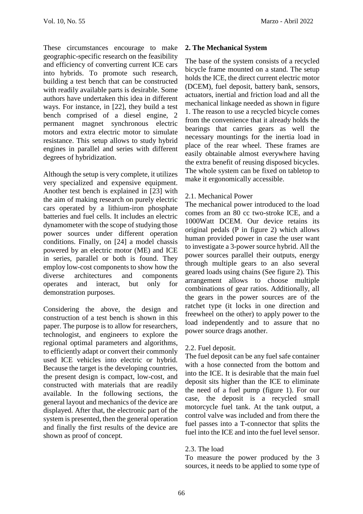These circumstances encourage to make geographic-specific research on the feasibility and efficiency of converting current ICE cars into hybrids. To promote such research, building a test bench that can be constructed with readily available parts is desirable. Some authors have undertaken this idea in different ways. For instance, in [22], they build a test bench comprised of a diesel engine, 2 permanent magnet synchronous electric motors and extra electric motor to simulate resistance. This setup allows to study hybrid engines in parallel and series with different degrees of hybridization.

Although the setup is very complete, it utilizes very specialized and expensive equipment. Another test bench is explained in [23] with the aim of making research on purely electric cars operated by a lithium-iron phosphate batteries and fuel cells. It includes an electric dynamometer with the scope of studying those power sources under different operation conditions. Finally, on [24] a model chassis powered by an electric motor (ME) and ICE in series, parallel or both is found. They employ low-cost components to show how the diverse architectures and components operates and interact, but only for demonstration purposes.

Considering the above, the design and construction of a test bench is shown in this paper. The purpose is to allow for researchers, technologist, and engineers to explore the regional optimal parameters and algorithms, to efficiently adapt or convert their commonly used ICE vehicles into electric or hybrid. Because the target is the developing countries, the present design is compact, low-cost, and constructed with materials that are readily available. In the following sections, the general layout and mechanics of the device are displayed. After that, the electronic part of the system is presented, then the general operation and finally the first results of the device are shown as proof of concept.

## **2. The Mechanical System**

The base of the system consists of a recycled bicycle frame mounted on a stand. The setup holds the ICE, the direct current electric motor (DCEM), fuel deposit, battery bank, sensors, actuators, inertial and friction load and all the mechanical linkage needed as shown in figure 1. The reason to use a recycled bicycle comes from the convenience that it already holds the bearings that carries gears as well the necessary mountings for the inertia load in place of the rear wheel. These frames are easily obtainable almost everywhere having the extra benefit of reusing disposed bicycles. The whole system can be fixed on tabletop to make it ergonomically accessible.

## 2.1. Mechanical Power

The mechanical power introduced to the load comes from an 80 cc two-stroke ICE, and a 1000Watt DCEM. Our device retains its original pedals (P in figure 2) which allows human provided power in case the user want to investigate a 3-power source hybrid. All the power sources parallel their outputs, energy through multiple gears to an also several geared loads using chains (See figure 2). This arrangement allows to choose multiple combinations of gear ratios. Additionally, all the gears in the power sources are of the ratchet type (it locks in one direction and freewheel on the other) to apply power to the load independently and to assure that no power source drags another.

## 2.2. Fuel deposit.

The fuel deposit can be any fuel safe container with a hose connected from the bottom and into the ICE. It is desirable that the main fuel deposit sits higher than the ICE to eliminate the need of a fuel pump (figure 1). For our case, the deposit is a recycled small motorcycle fuel tank. At the tank output, a control valve was included and from there the fuel passes into a T-connector that splits the fuel into the ICE and into the fuel level sensor.

## 2.3. The load

To measure the power produced by the 3 sources, it needs to be applied to some type of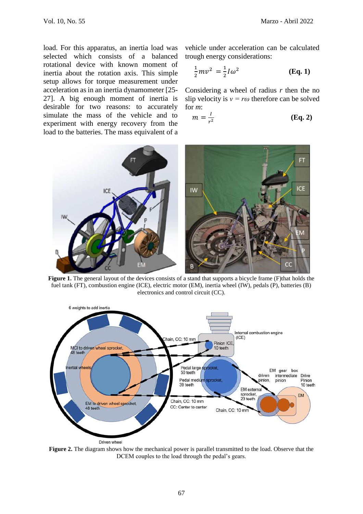load. For this apparatus, an inertia load was selected which consists of a balanced rotational device with known moment of inertia about the rotation axis. This simple setup allows for torque measurement under acceleration as in an inertia dynamometer [25- 27]. A big enough moment of inertia is desirable for two reasons: to accurately simulate the mass of the vehicle and to experiment with energy recovery from the load to the batteries. The mass equivalent of a vehicle under acceleration can be calculated trough energy considerations:

$$
\frac{1}{2}mv^2 = \frac{1}{2}I\omega^2
$$
 (Eq. 1)

Considering a wheel of radius *r* then the no slip velocity is  $v = r\omega$  therefore can be solved for *m*:

$$
m = \frac{l}{r^2} \tag{Eq. 2}
$$



Figure 1. The general layout of the devices consists of a stand that supports a bicycle frame (F)that holds the fuel tank (FT), combustion engine (ICE), electric motor (EM), inertia wheel (IW), pedals (P), batteries (B) electronics and control circuit (CC).



**Figure 2.** The diagram shows how the mechanical power is parallel transmitted to the load. Observe that the DCEM couples to the load through the pedal's gears.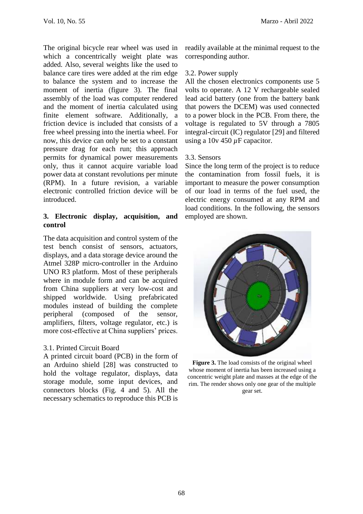The original bicycle rear wheel was used in which a concentrically weight plate was added. Also, several weights like the used to balance care tires were added at the rim edge to balance the system and to increase the moment of inertia (figure 3). The final assembly of the load was computer rendered and the moment of inertia calculated using finite element software. Additionally, a friction device is included that consists of a free wheel pressing into the inertia wheel. For now, this device can only be set to a constant pressure drag for each run; this approach permits for dynamical power measurements only, thus it cannot acquire variable load power data at constant revolutions per minute (RPM). In a future revision, a variable electronic controlled friction device will be introduced.

### **3. Electronic display, acquisition, and control**

The data acquisition and control system of the test bench consist of sensors, actuators, displays, and a data storage device around the Atmel 328P micro-controller in the Arduino UNO R3 platform. Most of these peripherals where in module form and can be acquired from China suppliers at very low-cost and shipped worldwide. Using prefabricated modules instead of building the complete peripheral (composed of the sensor, amplifiers, filters, voltage regulator, etc.) is more cost-effective at China suppliers' prices.

### 3.1. Printed Circuit Board

A printed circuit board (PCB) in the form of an Arduino shield [28] was constructed to hold the voltage regulator, displays, data storage module, some input devices, and connectors blocks (Fig. 4 and 5). All the necessary schematics to reproduce this PCB is readily available at the minimal request to the corresponding author.

### 3.2. Power supply

All the chosen electronics components use 5 volts to operate. A 12 V rechargeable sealed lead acid battery (one from the battery bank that powers the DCEM) was used connected to a power block in the PCB. From there, the voltage is regulated to 5V through a 7805 integral-circuit (IC) regulator [29] and filtered using a 10v 450 *µ*F capacitor.

### 3.3. Sensors

Since the long term of the project is to reduce the contamination from fossil fuels, it is important to measure the power consumption of our load in terms of the fuel used, the electric energy consumed at any RPM and load conditions. In the following, the sensors employed are shown.



**Figure 3.** The load consists of the original wheel whose moment of inertia has been increased using a concentric weight plate and masses at the edge of the rim. The render shows only one gear of the multiple gear set.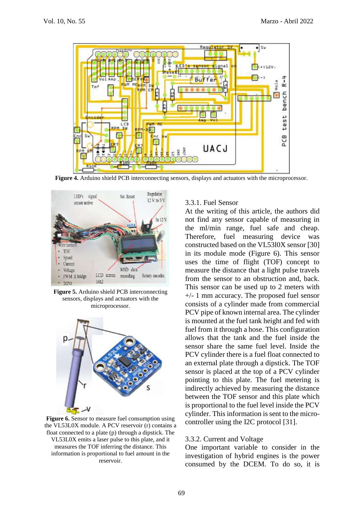

**Figure 4.** Arduino shield PCB interconnecting sensors, displays and actuators with the microprocessor.



**Figure 5.** Arduino shield PCB interconnecting sensors, displays and actuators with the microprocessor.



**Figure 6.** Sensor to measure fuel consumption using the VL53L0X module. A PCV reservoir (r) contains a float connected to a plate (p) through a dipstick. The VL53L0X emits a laser pulse to this plate, and it measures the TOF inferring the distance. This information is proportional to fuel amount in the reservoir.

### 3.3.1. Fuel Sensor

At the writing of this article, the authors did not find any sensor capable of measuring in the ml/min range, fuel safe and cheap. Therefore, fuel measuring device was constructed based on the VL53l0X sensor [30] in its module mode (Figure 6). This sensor uses the time of flight (TOF) concept to measure the distance that a light pulse travels from the sensor to an obstruction and, back. This sensor can be used up to 2 meters with +/- 1 mm accuracy. The proposed fuel sensor consists of a cylinder made from commercial PCV pipe of known internal area. The cylinder is mounted at the fuel tank height and fed with fuel from it through a hose. This configuration allows that the tank and the fuel inside the sensor share the same fuel level. Inside the PCV cylinder there is a fuel float connected to an external plate through a dipstick. The TOF sensor is placed at the top of a PCV cylinder pointing to this plate. The fuel metering is indirectly achieved by measuring the distance between the TOF sensor and this plate which is proportional to the fuel level inside the PCV cylinder. This information is sent to the microcontroller using the I2C protocol [31].

#### 3.3.2. Current and Voltage

One important variable to consider in the investigation of hybrid engines is the power consumed by the DCEM. To do so, it is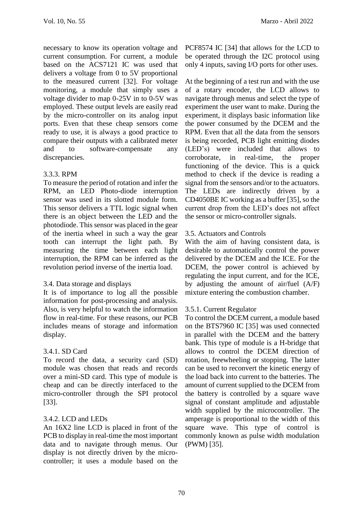necessary to know its operation voltage and current consumption. For current, a module based on the ACS7121 IC was used that delivers a voltage from 0 to 5V proportional to the measured current [32]. For voltage monitoring, a module that simply uses a voltage divider to map 0-25V in to 0-5V was employed. These output levels are easily read by the micro-controller on its analog input ports. Even that these cheap sensors come ready to use, it is always a good practice to compare their outputs with a calibrated meter and to software-compensate any discrepancies.

## 3.3.3. RPM

To measure the period of rotation and infer the RPM, an LED Photo-diode interruption sensor was used in its slotted module form. This sensor delivers a TTL logic signal when there is an object between the LED and the photodiode. This sensor was placed in the gear of the inertia wheel in such a way the gear tooth can interrupt the light path. By measuring the time between each light interruption, the RPM can be inferred as the revolution period inverse of the inertia load.

## 3.4. Data storage and displays

It is of importance to log all the possible information for post-processing and analysis. Also, is very helpful to watch the information flow in real-time. For these reasons, our PCB includes means of storage and information display.

## 3.4.1. SD Card

To record the data, a security card (SD) module was chosen that reads and records over a mini-SD card. This type of module is cheap and can be directly interfaced to the micro-controller through the SPI protocol [33].

## 3.4.2. LCD and LEDs

An 16X2 line LCD is placed in front of the PCB to display in real-time the most important data and to navigate through menus. Our display is not directly driven by the microcontroller; it uses a module based on the

PCF8574 IC [34] that allows for the LCD to be operated through the I2C protocol using only 4 inputs, saving I/O ports for other uses.

At the beginning of a test run and with the use of a rotary encoder, the LCD allows to navigate through menus and select the type of experiment the user want to make. During the experiment, it displays basic information like the power consumed by the DCEM and the RPM. Even that all the data from the sensors is being recorded, PCB light emitting diodes (LED's) were included that allows to corroborate, in real-time, the proper functioning of the device. This is a quick method to check if the device is reading a signal from the sensors and/or to the actuators. The LEDs are indirectly driven by a CD4050BE IC working as a buffer [35], so the current drop from the LED's does not affect the sensor or micro-controller signals.

## 3.5. Actuators and Controls

With the aim of having consistent data, is desirable to automatically control the power delivered by the DCEM and the ICE. For the DCEM, the power control is achieved by regulating the input current, and for the ICE, by adjusting the amount of air/fuel (A/F) mixture entering the combustion chamber.

## 3.5.1. Current Regulator

To control the DCEM current, a module based on the BTS7960 IC [35] was used connected in parallel with the DCEM and the battery bank. This type of module is a H-bridge that allows to control the DCEM direction of rotation, freewheeling or stopping. The latter can be used to reconvert the kinetic energy of the load back into current to the batteries. The amount of current supplied to the DCEM from the battery is controlled by a square wave signal of constant amplitude and adjustable width supplied by the microcontroller. The amperage is proportional to the width of this square wave. This type of control is commonly known as pulse width modulation (PWM) [35].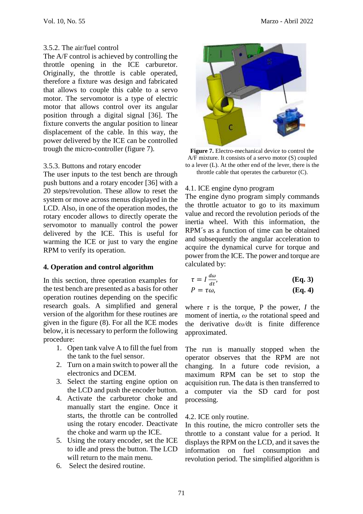### 3.5.2. The air/fuel control

The A/F control is achieved by controlling the throttle opening in the ICE carburetor. Originally, the throttle is cable operated, therefore a fixture was design and fabricated that allows to couple this cable to a servo motor. The servomotor is a type of electric motor that allows control over its angular position through a digital signal [36]. The fixture converts the angular position to linear displacement of the cable. In this way, the power delivered by the ICE can be controlled trough the micro-controller (figure 7).

### 3.5.3. Buttons and rotary encoder

The user inputs to the test bench are through push buttons and a rotary encoder [36] with a 20 steps/revolution. These allow to reset the system or move across menus displayed in the LCD. Also, in one of the operation modes, the rotary encoder allows to directly operate the servomotor to manually control the power delivered by the ICE. This is useful for warming the ICE or just to vary the engine RPM to verify its operation.

## **4. Operation and control algorithm**

In this section, three operation examples for the test bench are presented as a basis for other operation routines depending on the specific research goals. A simplified and general version of the algorithm for these routines are given in the figure (8). For all the ICE modes below, it is necessary to perform the following procedure:

- 1. Open tank valve A to fill the fuel from the tank to the fuel sensor.
- 2. Turn on a main switch to power all the electronics and DCEM.
- 3. Select the starting engine option on the LCD and push the encoder button.
- 4. Activate the carburetor choke and manually start the engine. Once it starts, the throttle can be controlled using the rotary encoder. Deactivate the choke and warm up the ICE.
- 5. Using the rotary encoder, set the ICE to idle and press the button. The LCD will return to the main menu.
- 6. Select the desired routine.



**Figure 7.** Electro-mechanical device to control the A/F mixture. It consists of a servo motor (S) coupled to a lever (L). At the other end of the lever, there is the throttle cable that operates the carburetor (C).

### 4.1. ICE engine dyno program

The engine dyno program simply commands the throttle actuator to go to its maximum value and record the revolution periods of the inertia wheel. With this information, the RPM´s as a function of time can be obtained and subsequently the angular acceleration to acquire the dynamical curve for torque and power from the ICE. The power and torque are calculated by:

$$
\tau = I \frac{d\omega}{dt}, \qquad (\text{Eq. 3})
$$

$$
P = \tau \omega, \qquad \qquad (\mathbf{Eq. 4})
$$

where  $\tau$  is the torque, P the power, *I* the moment of inertia, *ω* the rotational speed and the derivative d*ω/*dt is finite difference approximated.

The run is manually stopped when the operator observes that the RPM are not changing. In a future code revision, a maximum RPM can be set to stop the acquisition run. The data is then transferred to a computer via the SD card for post processing.

## 4.2. ICE only routine.

In this routine, the micro controller sets the throttle to a constant value for a period. It displays the RPM on the LCD, and it saves the information on fuel consumption and revolution period. The simplified algorithm is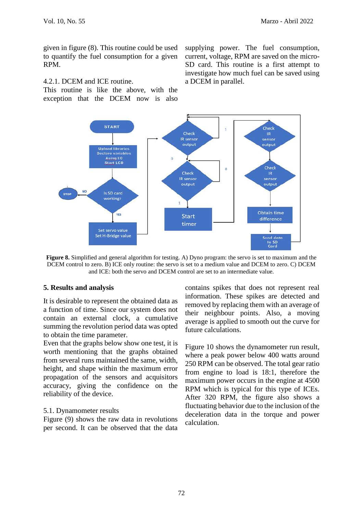given in figure (8). This routine could be used to quantify the fuel consumption for a given RPM.

### 4.2.1. DCEM and ICE routine.

This routine is like the above, with the exception that the DCEM now is also supplying power. The fuel consumption, current, voltage, RPM are saved on the micro-SD card. This routine is a first attempt to investigate how much fuel can be saved using a DCEM in parallel.



**Figure 8.** Simplified and general algorithm for testing. A) Dyno program: the servo is set to maximum and the DCEM control to zero. B) ICE only routine: the servo is set to a medium value and DCEM to zero. C) DCEM and ICE: both the servo and DCEM control are set to an intermediate value.

### **5. Results and analysis**

It is desirable to represent the obtained data as a function of time. Since our system does not contain an external clock, a cumulative summing the revolution period data was opted to obtain the time parameter.

Even that the graphs below show one test, it is worth mentioning that the graphs obtained from several runs maintained the same, width, height, and shape within the maximum error propagation of the sensors and acquisitors accuracy, giving the confidence on the reliability of the device.

### 5.1. Dynamometer results

Figure (9) shows the raw data in revolutions per second. It can be observed that the data contains spikes that does not represent real information. These spikes are detected and removed by replacing them with an average of their neighbour points. Also, a moving average is applied to smooth out the curve for future calculations.

Figure 10 shows the dynamometer run result, where a peak power below 400 watts around 250 RPM can be observed. The total gear ratio from engine to load is 18:1, therefore the maximum power occurs in the engine at 4500 RPM which is typical for this type of ICEs. After 320 RPM, the figure also shows a fluctuating behavior due to the inclusion of the deceleration data in the torque and power calculation.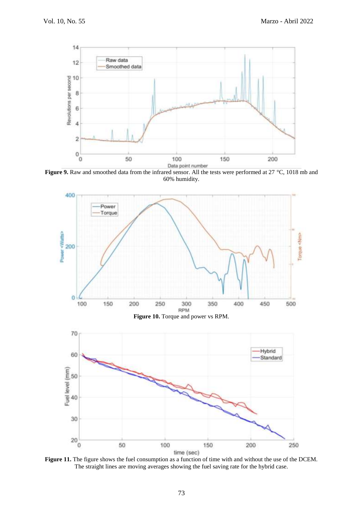

Figure 9. Raw and smoothed data from the infrared sensor. All the tests were performed at 27 °C, 1018 mb and 60% humidity.



Figure 11. The figure shows the fuel consumption as a function of time with and without the use of the DCEM. The straight lines are moving averages showing the fuel saving rate for the hybrid case.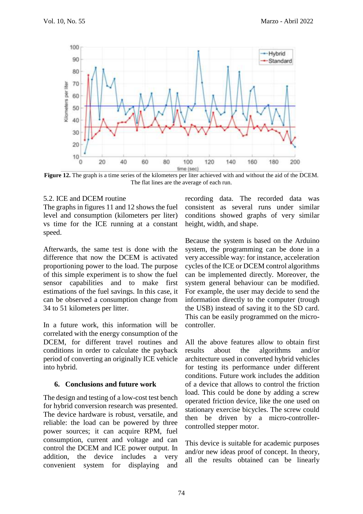

**Figure 12.** The graph is a time series of the kilometers per liter achieved with and without the aid of the DCEM. The flat lines are the average of each run.

### 5.2. ICE and DCEM routine

The graphs in figures 11 and 12 shows the fuel level and consumption (kilometers per liter) vs time for the ICE running at a constant speed.

Afterwards, the same test is done with the difference that now the DCEM is activated proportioning power to the load. The purpose of this simple experiment is to show the fuel sensor capabilities and to make first estimations of the fuel savings. In this case, it can be observed a consumption change from 34 to 51 kilometers per litter.

In a future work, this information will be correlated with the energy consumption of the DCEM, for different travel routines and conditions in order to calculate the payback period of converting an originally ICE vehicle into hybrid.

### **6. Conclusions and future work**

The design and testing of a low-cost test bench for hybrid conversion research was presented. The device hardware is robust, versatile, and reliable: the load can be powered by three power sources; it can acquire RPM, fuel consumption, current and voltage and can control the DCEM and ICE power output. In addition, the device includes a very convenient system for displaying and recording data. The recorded data was consistent as several runs under similar conditions showed graphs of very similar height, width, and shape.

Because the system is based on the Arduino system, the programming can be done in a very accessible way: for instance, acceleration cycles of the ICE or DCEM control algorithms can be implemented directly. Moreover, the system general behaviour can be modified. For example, the user may decide to send the information directly to the computer (trough the USB) instead of saving it to the SD card. This can be easily programmed on the microcontroller.

All the above features allow to obtain first results about the algorithms and/or architecture used in converted hybrid vehicles for testing its performance under different conditions. Future work includes the addition of a device that allows to control the friction load. This could be done by adding a screw operated friction device, like the one used on stationary exercise bicycles. The screw could then be driven by a micro-controllercontrolled stepper motor.

This device is suitable for academic purposes and/or new ideas proof of concept. In theory, all the results obtained can be linearly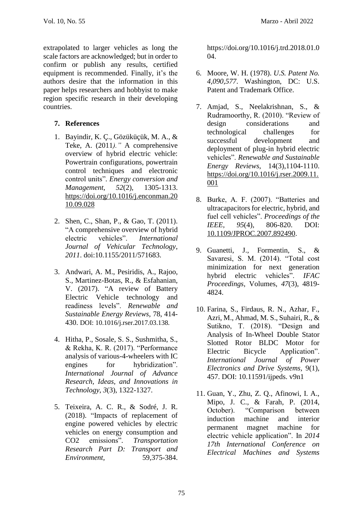extrapolated to larger vehicles as long the scale factors are acknowledged; but in order to confirm or publish any results, certified equipment is recommended. Finally, it's the authors desire that the information in this paper helps researchers and hobbyist to make region specific research in their developing countries.

## **7. References**

- 1. Bayindir, K. Ç., Gözüküçük, M. A., & Teke, A. (2011*)."* A comprehensive overview of hybrid electric vehicle: Powertrain configurations, powertrain control techniques and electronic control units"*. Energy conversion and Management, 52*(2), 1305-1313. [https://doi.org/10.1016/j.enconman.20](https://doi.org/10.1016/j.enconman.2010.09.028) [10.09.028](https://doi.org/10.1016/j.enconman.2010.09.028)
- 2. Shen, C., Shan, P., & Gao, T. (2011). "A comprehensive overview of hybrid electric vehicles". *International Journal of Vehicular Technology*, *2011*. doi:10.1155/2011/571683.
- 3. Andwari, A. M., Pesiridis, A., Rajoo, S., Martinez-Botas, R., & Esfahanian, V. (2017). "A review of Battery Electric Vehicle technology and readiness levels". *Renewable and Sustainable Energy Reviews*, 78, 414- 430. DOI: 10.1016/j.rser.2017.03.138.
- 4. Hitha, P., Sosale, S. S., Sushmitha, S., & Rekha, K. R. (2017). "Performance analysis of various-4-wheelers with IC engines for hybridization". *International Journal of Advance Research, Ideas, and Innovations in Technology*, *3*(3), 1322-1327.
- 5. Teixeira, A. C. R., & Sodré, J. R. (2018). "Impacts of replacement of engine powered vehicles by electric vehicles on energy consumption and CO2 emissions"*. Transportation Research Part D: Transport and Environment,* 59,375-384.

https://doi.org/10.1016/j.trd.2018.01.0 04.

- 6. Moore, W. H. (1978). *U.S. Patent No. 4,090,577*. Washington, DC: U.S. Patent and Trademark Office.
- 7. Amjad, S., Neelakrishnan, S., & Rudramoorthy, R. (2010). "Review of design considerations and technological challenges for successful development and deployment of plug-in hybrid electric vehicles". *Renewable and Sustainable Energy Reviews*, 14(3),1104-1110. [https://doi.org/10.1016/j.rser.2009.11.](https://doi.org/10.1016/j.rser.2009.11.001) [001](https://doi.org/10.1016/j.rser.2009.11.001)
- 8. Burke, A. F. (2007). "Batteries and ultracapacitors for electric, hybrid, and fuel cell vehicles". *Proceedings of the IEEE, 95*(4), 806-820. DOI: [10.1109/JPROC.2007.892490.](https://doi.org/10.1109/JPROC.2007.892490)
- 9. Guanetti, J., Formentin, S., & Savaresi, S. M. (2014). "Total cost minimization for next generation hybrid electric vehicles". *IFAC Proceedings*, Volumes, *47*(3), 4819- 4824.
- 10. Farina, S., Firdaus, R. N., Azhar, F., Azri, M., Ahmad, M. S., Suhairi, R., & Sutikno, T. (2018). "Design and Analysis of In-Wheel Double Stator Slotted Rotor BLDC Motor for Electric Bicycle Application". *International Journal of Power Electronics and Drive Systems,* 9(1), 457. DOI: 10.11591/ijpeds. v9n1
- 11. Guan, Y., Zhu, Z. Q., Afinowi, I. A., Mipo, J. C., & Farah, P. (2014, October). "Comparison between induction machine and interior permanent magnet machine for electric vehicle application". In *2014 17th International Conference on Electrical Machines and Systems*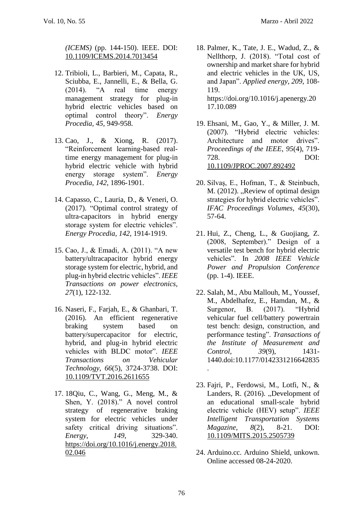*(ICEMS)* (pp. 144-150). IEEE. DOI: [10.1109/ICEMS.2014.7013454](https://doi.org/10.1109/ICEMS.2014.7013454)

- 12. Tribioli, L., Barbieri, M., Capata, R., Sciubba, E., Jannelli, E., & Bella, G. (2014). "A real time energy management strategy for plug-in hybrid electric vehicles based on optimal control theory". *Energy Procedia*, *45*, 949-958.
- 13. Cao, J., & Xiong, R. (2017). "Reinforcement learning-based realtime energy management for plug-in hybrid electric vehicle with hybrid energy storage system". *Energy Procedia*, *142*, 1896-1901.
- 14. Capasso, C., Lauria, D., & Veneri, O. (2017). "Optimal control strategy of ultra-capacitors in hybrid energy storage system for electric vehicles". *Energy Procedia*, *142*, 1914-1919.
- 15. Cao, J., & Emadi, A. (2011). "A new battery/ultracapacitor hybrid energy storage system for electric, hybrid, and plug-in hybrid electric vehicles". *IEEE Transactions on power electronics*, *27*(1), 122-132.
- 16. Naseri, F., Farjah, E., & Ghanbari, T. (2016). An efficient regenerative braking system based on battery/supercapacitor for electric, hybrid, and plug-in hybrid electric vehicles with BLDC motor". *IEEE Transactions on Vehicular Technology*, *66*(5), 3724-3738. DOI: [10.1109/TVT.2016.2611655](https://doi.org/10.1109/TVT.2016.2611655)
- 17. 18Qiu, C., Wang, G., Meng, M., & Shen, Y. (2018)." A novel control strategy of regenerative braking system for electric vehicles under safety critical driving situations". *Energy*, *149*, 329-340. [https://doi.org/10.1016/j.energy.2018.](https://doi.org/10.1016/j.energy.2018.02.046) [02.046](https://doi.org/10.1016/j.energy.2018.02.046)
- 18. Palmer, K., Tate, J. E., Wadud, Z., & Nellthorp, J. (2018). "Total cost of ownership and market share for hybrid and electric vehicles in the UK, US, and Japan". *Applied energy*, *209*, 108- 119. https://doi.org/10.1016/j.apenergy.20 17.10.089
- 19. Ehsani, M., Gao, Y., & Miller, J. M. (2007). "Hybrid electric vehicles: Architecture and motor drives". *Proceedings of the IEEE*, *95*(4), 719- 728. DOI: [10.1109/JPROC.2007.892492](https://doi.org/10.1109/JPROC.2007.892492)
- 20. Silvaş, E., Hofman, T., & Steinbuch,  $M. (2012)$ . "Review of optimal design strategies for hybrid electric vehicles". *IFAC Proceedings Volumes*, *45*(30), 57-64.
- 21. Hui, Z., Cheng, L., & Guojiang, Z. (2008, September)." Design of a versatile test bench for hybrid electric vehicles". In *2008 IEEE Vehicle Power and Propulsion Conference* (pp. 1-4). IEEE.
- 22. Salah, M., Abu Mallouh, M., Youssef, M., Abdelhafez, E., Hamdan, M., & Surgenor, B. (2017). "Hybrid vehicular fuel cell/battery powertrain test bench: design, construction, and performance testing". *Transactions of the Institute of Measurement and Control*, *39*(9), 1431- 1440.doi:10.1177/0142331216642835 .
- 23. Fajri, P., Ferdowsi, M., Lotfi, N., & Landers, R. (2016). "Development of an educational small-scale hybrid electric vehicle (HEV) setup". *IEEE Intelligent Transportation Systems Magazine*, *8*(2), 8-21. DOI: [10.1109/MITS.2015.2505739](https://doi.org/10.1109/MITS.2015.2505739)
- 24. Arduino.cc. Arduino Shield, unkown. Online accessed 08-24-2020.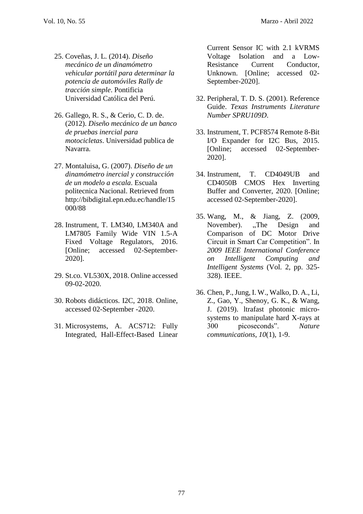- 25. Coveñas, J. L. (2014). *Diseño mecánico de un dinamómetro vehicular portátil para determinar la potencia de automóviles Rally de tracción simple*. Pontificia Universidad Católica del Perú.
- 26. Gallego, R. S., & Cerio, C. D. de. (2012). *Diseño mecánico de un banco de pruebas inercial para motocicletas*. Universidad publica de Navarra.
- 27. Montaluisa, G. (2007). *Diseño de un dinamómetro inercial y construcción de un modelo a escala*. Escuala politecnica Nacional. Retrieved from http://bibdigital.epn.edu.ec/handle/15 000/88
- 28. Instrument, T. LM340, LM340A and LM7805 Family Wide VIN 1.5-A Fixed Voltage Regulators, 2016. [Online; accessed 02-September-2020].
- 29. St.co. VL530X, 2018. Online accessed 09-02-2020.
- 30. Robots didácticos. I2C, 2018. Online, accessed 02-September -2020.
- 31. Microsystems, A. ACS712: Fully Integrated, Hall-Effect-Based Linear

Current Sensor IC with 2.1 kVRMS Voltage Isolation and a Low-Resistance Current Conductor, Unknown. [Online; accessed 02- September-2020].

- 32. Peripheral, T. D. S. (2001). Reference Guide. *Texas Instruments Literature Number SPRU109D*.
- 33. Instrument, T. PCF8574 Remote 8-Bit I/O Expander for I2C Bus, 2015. [Online: accessed 02-September-2020].
- 34. Instrument, T. CD4049UB and CD4050B CMOS Hex Inverting Buffer and Converter, 2020. [Online; accessed 02-September-2020].
- 35. Wang, M., & Jiang, Z. (2009, November). "The Design and Comparison of DC Motor Drive Circuit in Smart Car Competition". In *2009 IEEE International Conference on Intelligent Computing and Intelligent Systems* (Vol. 2, pp. 325- 328). IEEE.
- 36. Chen, P., Jung, I. W., Walko, D. A., Li, Z., Gao, Y., Shenoy, G. K., & Wang, J. (2019). ltrafast photonic microsystems to manipulate hard X-rays at 300 picoseconds". *Nature communications*, *10*(1), 1-9.